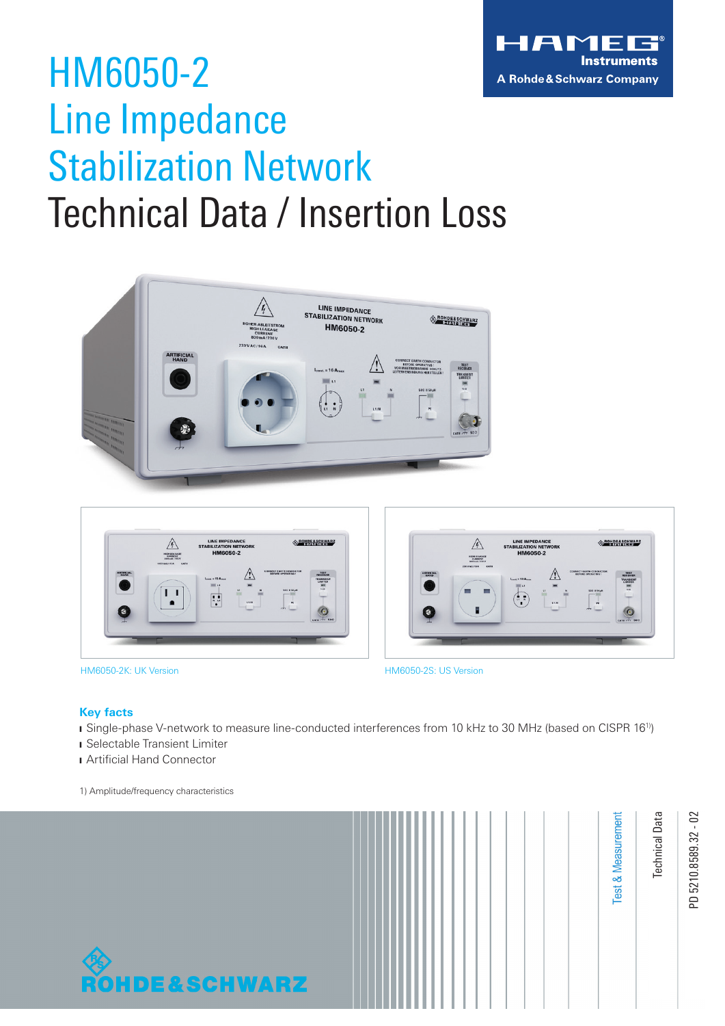

## HM6050-2 Line Impedance Stabilization Network Technical Data / Insertion Loss







HM6050-2K: UK Version HM6050-2S: US Version

#### **Key facts**

❙ Single-phase V-network to measure line-conducted interferences from 10 kHz to 30 MHz (based on CISPR 161))

❙ Selectable Transient Limiter

**I** Artificial Hand Connector

1) Amplitude/frequency characteristics



PD 5210.8589.32 - 02 PD 5210.8589.32 - 02

Technical Data

**Test & Measurement** 

**Jechnical Data**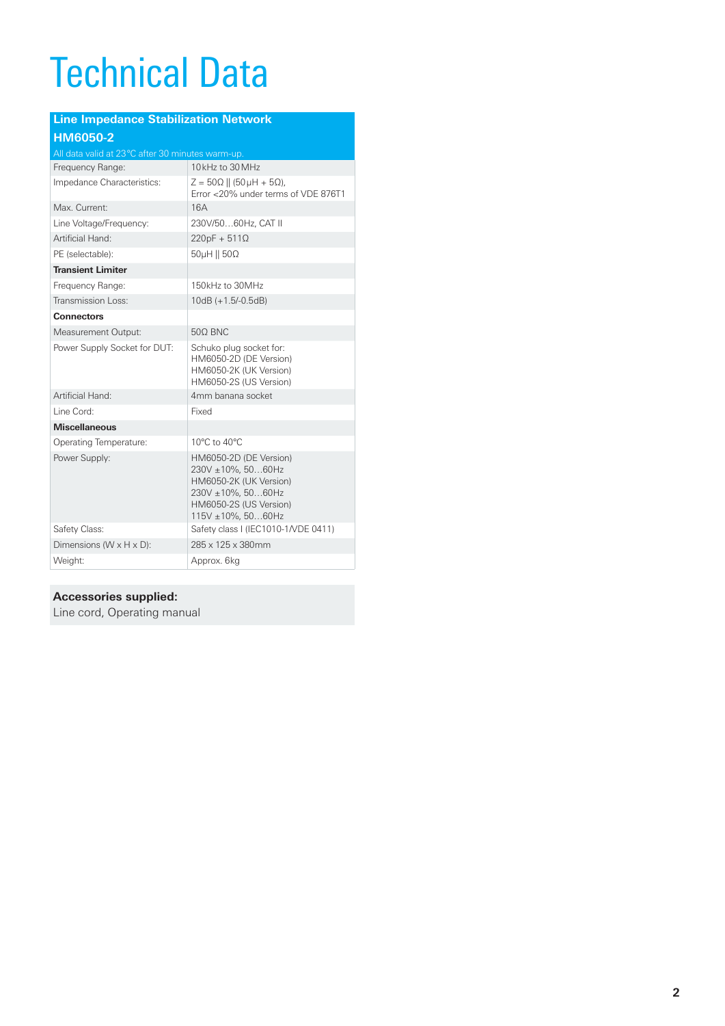# Technical Data

| <b>Line Impedance Stabilization Network</b>       |                                                                                                                                                         |  |  |  |  |  |
|---------------------------------------------------|---------------------------------------------------------------------------------------------------------------------------------------------------------|--|--|--|--|--|
| HM6050-2                                          |                                                                                                                                                         |  |  |  |  |  |
| All data valid at 23 °C after 30 minutes warm-up. |                                                                                                                                                         |  |  |  |  |  |
| Frequency Range:                                  | 10kHz to 30 MHz                                                                                                                                         |  |  |  |  |  |
| Impedance Characteristics:                        | $Z = 50\Omega$    (50 µH + 5 $\Omega$ ),<br>Error <20% under terms of VDE 876T1                                                                         |  |  |  |  |  |
| Max. Current:                                     | 16A                                                                                                                                                     |  |  |  |  |  |
| Line Voltage/Frequency:                           | 230V/5060Hz, CAT II                                                                                                                                     |  |  |  |  |  |
| Artificial Hand:                                  | $220pF + 511\Omega$                                                                                                                                     |  |  |  |  |  |
| PE (selectable):                                  | $50\mu$ H    $50\Omega$                                                                                                                                 |  |  |  |  |  |
| <b>Transient Limiter</b>                          |                                                                                                                                                         |  |  |  |  |  |
| Frequency Range:                                  | 150kHz to 30MHz                                                                                                                                         |  |  |  |  |  |
| Transmission Loss:                                | $10dB (+1.5/-0.5dB)$                                                                                                                                    |  |  |  |  |  |
| <b>Connectors</b>                                 |                                                                                                                                                         |  |  |  |  |  |
| Measurement Output:                               | 500 BNC                                                                                                                                                 |  |  |  |  |  |
| Power Supply Socket for DUT:                      | Schuko plug socket for:<br>HM6050-2D (DE Version)<br>HM6050-2K (UK Version)<br>HM6050-2S (US Version)                                                   |  |  |  |  |  |
| Artificial Hand:                                  | 4mm banana socket                                                                                                                                       |  |  |  |  |  |
| Line Cord:                                        | Fixed                                                                                                                                                   |  |  |  |  |  |
| <b>Miscellaneous</b>                              |                                                                                                                                                         |  |  |  |  |  |
| Operating Temperature:                            | 10°C to 40°C                                                                                                                                            |  |  |  |  |  |
| Power Supply:                                     | HM6050-2D (DE Version)<br>230V ±10%, 5060Hz<br>HM6050-2K (UK Version)<br>$230V \pm 10\%$ , 5060Hz<br>HM6050-2S (US Version)<br>$115V \pm 10\%$ , 5060Hz |  |  |  |  |  |
| Safety Class:                                     | Safety class I (IEC1010-1/VDE 0411)                                                                                                                     |  |  |  |  |  |
| Dimensions ( $W \times H \times D$ ):             | 285 x 125 x 380mm                                                                                                                                       |  |  |  |  |  |
| Weight:                                           | Approx. 6kg                                                                                                                                             |  |  |  |  |  |

#### **Accessories supplied:**

Line cord, Operating manual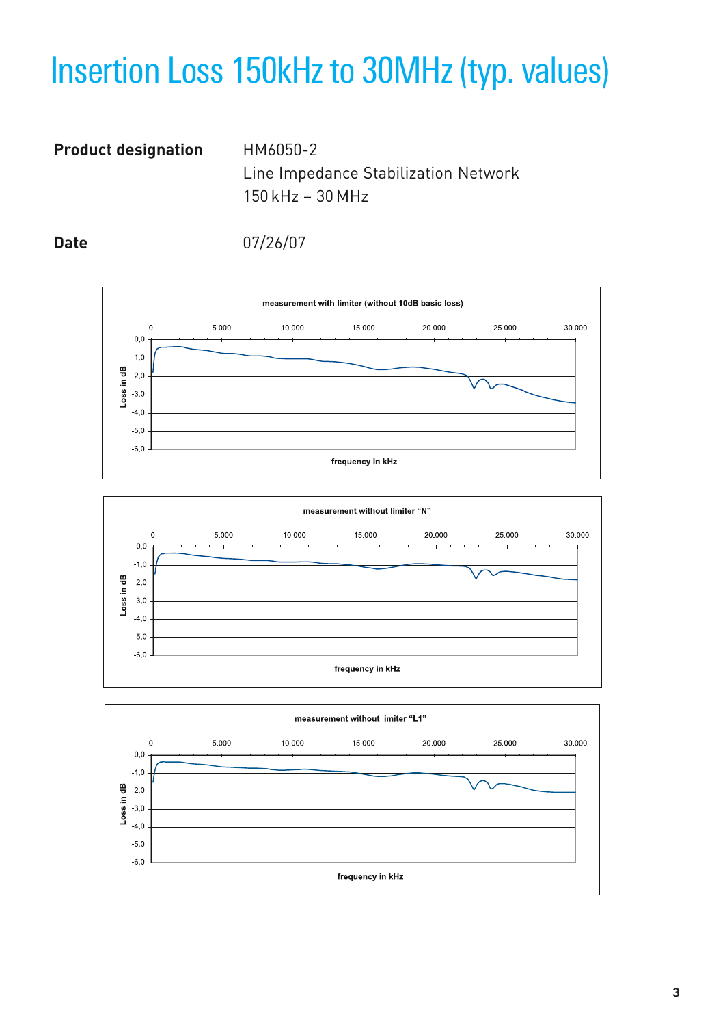## Insertion Loss 150kHz to 30MHz (typ. values)

### **Product designation** HM6050-2

Line Impedance Stabilization Network 150 kHz – 30 MHz

**Date** 07/26/07





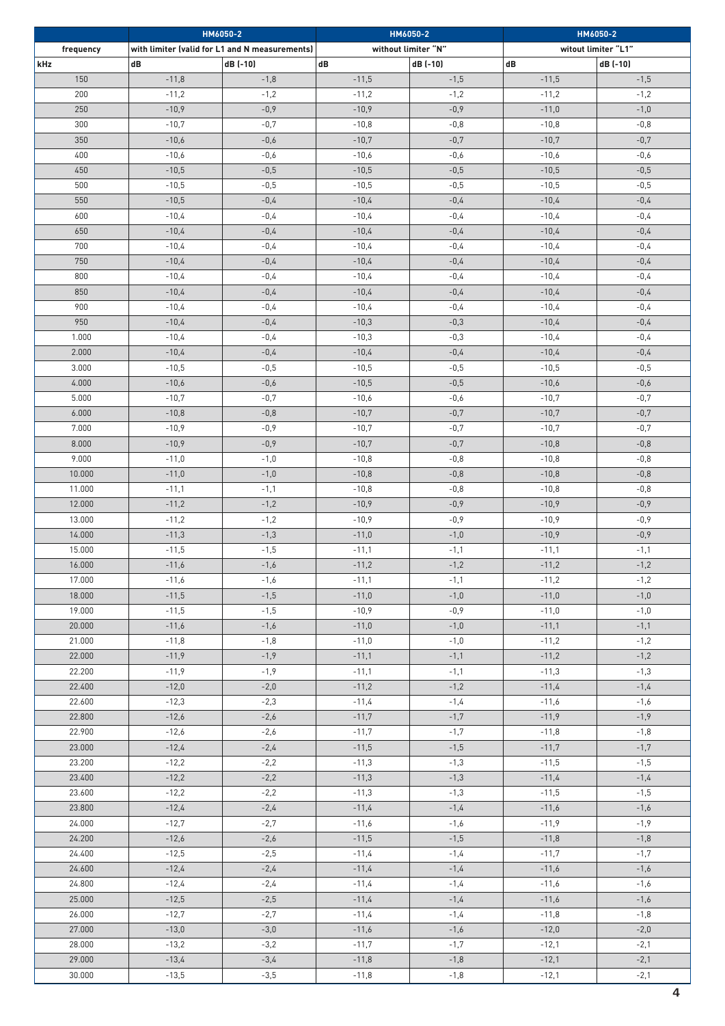|                  | HM6050-2           |                                                |                    | HM6050-2            | HM6050-2           |                     |  |
|------------------|--------------------|------------------------------------------------|--------------------|---------------------|--------------------|---------------------|--|
| frequency        |                    | with limiter (valid for L1 and N measurements) |                    | without limiter "N" |                    | witout limiter "L1" |  |
| kHz<br>dB        |                    | dB (-10)                                       | dB                 | dB (-10)            | dB                 | dB (-10)            |  |
| 150              | $-11,8$            | $-1,8$                                         | $-11,5$            | $-1,5$              | $-11,5$            | $-1,5$              |  |
| 200              | $-11,2$            | $-1,2$                                         | $-11,2$            | $-1,2$              | $-11,2$            | $-1,2$              |  |
| 250              | $-10,9$            | $-0,9$                                         | $-10,9$            | $-0,9$              | $-11,0$            | $-1,0$              |  |
| 300              | $-10,7$            | $-0,7$                                         | $-10,8$            | $-0,8$              | $-10,8$            | $-0,8$              |  |
| 350              | $-10,6$            | $-0,6$                                         | $-10,7$            | $-0,7$              | $-10,7$            | $-0,7$              |  |
| 400              | $-10,6$            | $-0,6$                                         | $-10,6$            | $-0,6$              | $-10,6$            | $-0,6$              |  |
| 450              | $-10,5$            | $-0,5$                                         | $-10,5$            | $-0,5$              | $-10,5$            | $-0,5$              |  |
| 500              | $-10,5$            | $-0,5$                                         | $-10,5$            | $-0,5$              | $-10,5$            | $-0,5$              |  |
| 550              | $-10,5$            | $-0,4$                                         | $-10,4$            | $-0,4$              | $-10,4$            | $-0,4$              |  |
| 600              | $-10,4$            | $-0,4$                                         | $-10,4$            | $-0,4$              | $-10,4$            | $-0,4$              |  |
| 650              | $-10,4$            | $-0,4$                                         | $-10,4$            | $-0,4$              | $-10,4$            | $-0,4$              |  |
| 700              | $-10,4$            | $-0,4$                                         | $-10,4$            | $-0,4$              | $-10,4$            | $-0,4$              |  |
| 750              | $-10,4$            | $-0,4$                                         | $-10,4$            | $-0,4$              | $-10,4$            | $-0,4$              |  |
| 800              | $-10,4$            | $-0,4$                                         | $-10,4$            | $-0,4$              | $-10,4$            | $-0,4$              |  |
|                  |                    |                                                |                    |                     |                    |                     |  |
| 850              | $-10,4$            | $-0,4$                                         | $-10,4$            | $-0,4$              | $-10,4$            | $-0,4$              |  |
| 900              | $-10,4$            | $-0,4$                                         | $-10,4$            | $-0,4$              | $-10,4$            | $-0,4$              |  |
| 950              | $-10,4$<br>$-10,4$ | $-0,4$                                         | $-10,3$            | $-0,3$              | $-10,4$            | $-0,4$              |  |
| 1.000            |                    | $-0,4$                                         | $-10,3$            | $-0,3$              | $-10,4$            | $-0,4$              |  |
| 2.000            | $-10,4$            | $-0,4$                                         | $-10,4$            | $-0,4$              | $-10,4$            | $-0,4$              |  |
| 3.000            | $-10,5$            | $-0,5$                                         | $-10,5$            | $-0,5$              | $-10,5$            | $-0,5$              |  |
| 4.000            | $-10,6$            | $-0,6$                                         | $-10,5$            | $-0,5$              | $-10,6$            | $-0,6$              |  |
| 5.000            | $-10,7$            | $-0,7$                                         | $-10,6$            | $-0,6$              | $-10,7$            | $-0,7$              |  |
| 6.000            | $-10,8$            | $-0,8$                                         | $-10,7$            | $-0,7$              | $-10,7$            | $-0,7$              |  |
| 7.000            | $-10,9$            | $-0,9$                                         | $-10,7$            | $-0,7$              | $-10,7$            | $-0,7$              |  |
| 8.000            | $-10,9$            | $-0,9$                                         | $-10,7$            | $-0,7$              | $-10,8$            | $-0,8$              |  |
| 9.000            | $-11,0$            | $-1,0$                                         | $-10,8$            | $-0,8$              | $-10,8$            | $-0,8$              |  |
| 10.000           | $-11,0$            | $-1,0$                                         | $-10,8$            | $-0,8$              | $-10,8$            | $-0,8$              |  |
| 11.000           | $-11,1$            | $-1,1$                                         | $-10,8$            | $-0,8$              | $-10,8$            | $-0,8$              |  |
| 12.000           | $-11,2$            | $-1,2$                                         | $-10,9$            | $-0,9$              | $-10,9$            | $-0,9$              |  |
| 13.000<br>14.000 | $-11,2$<br>$-11,3$ | $-1,2$<br>$-1,3$                               | $-10,9$<br>$-11,0$ | $-0,9$<br>$-1,0$    | $-10,9$<br>$-10,9$ | $-0,9$<br>$-0,9$    |  |
|                  |                    |                                                |                    |                     |                    |                     |  |
| 15.000<br>16.000 | $-11,5$<br>$-11,6$ | $-1,5$<br>$-1,6$                               | $-11,1$<br>$-11,2$ | $-1,1$<br>$-1,2$    | $-11,1$<br>$-11,2$ | $-1,1$<br>$-1,2$    |  |
| 17.000           | $-11,6$            | $-1,6$                                         | $-11,1$            | $-1,1$              | $-11,2$            | $-1,2$              |  |
| 18.000           | $-11,5$            | $-1,5$                                         | $-11,0$            | $-1,0$              | $-11,0$            | $-1,0$              |  |
| 19.000           | $-11,5$            | $-1,5$                                         | $-10,9$            | $-0,9$              | $-11,0$            | $-1,0$              |  |
| 20.000           | $-11,6$            | $-1,6$                                         | $-11,0$            | $-1,0$              | $-11,1$            | $-1,1$              |  |
| 21.000           | $-11,8$            | $-1,8$                                         | $-11,0$            | $-1,0$              | $-11,2$            | $-1,2$              |  |
| 22.000           | $-11,9$            | $-1,9$                                         | $-11,1$            | $-1,1$              | $-11,2$            | $-1,2$              |  |
| 22.200           | $-11,9$            | $-1,9$                                         | $-11,1$            | $-1,1$              | $-11,3$            | $-1,3$              |  |
| 22.400           | $-12,0$            | $-2,0$                                         | $-11,2$            | $-1,2$              | $-11,4$            | $-1,4$              |  |
| 22.600           | $-12,3$            | $-2,3$                                         | $-11,4$            | $-1,4$              | $-11,6$            | $-1,6$              |  |
| 22.800           | $-12,6$            | $-2,6$                                         | $-11,7$            | $-1,7$              | $-11,9$            | $-1,9$              |  |
| 22.900           | $-12,6$            | $-2,6$                                         | $-11,7$            | $-1,7$              | $-11,8$            | $-1,8$              |  |
| 23.000           | $-12,4$            | $-2,4$                                         | $-11,5$            | $-1,5$              | $-11,7$            | $-1,7$              |  |
| 23.200           | $-12,2$            | $-2,2$                                         | $-11,3$            | $-1,3$              | $-11,5$            | $-1,5$              |  |
| 23.400           | $-12,2$            | $-2,2$                                         | $-11,3$            | $-1,3$              | $-11,4$            | $-1,4$              |  |
| 23.600           | $-12,2$            | $-2,2$                                         | $-11,3$            | $-1,3$              | $-11,5$            | $-1,5$              |  |
| 23.800           | $-12,4$            | $-2,4$                                         | $-11,4$            | $-1,4$              | $-11,6$            | $-1,6$              |  |
| 24.000           | $-12,7$            | $-2,7$                                         | $-11,6$            | $-1,6$              | $-11,9$            | $-1,9$              |  |
| 24.200           | $-12,6$            | $-2,6$                                         | $-11,5$            | $-1,5$              | $-11,8$            | $-1,8$              |  |
| 24.400           | $-12,5$            | $-2,5$                                         | $-11,4$            | $-1,4$              | $-11,7$            | $-1,7$              |  |
| 24.600           | $-12,4$            | $-2,4$                                         | $-11,4$            | $-1,4$              | $-11,6$            | $-1,6$              |  |
| 24.800           | $-12,4$            | $-2,4$                                         | $-11,4$            | $-1,4$              | $-11,6$            | $-1,6$              |  |
| 25.000           | $-12,5$            | $-2,5$                                         | $-11,4$            | $-1,4$              | $-11,6$            | $-1,6$              |  |
| 26.000           | $-12,7$            | $-2,7$                                         | $-11,4$            | $-1,4$              | $-11,8$            | $-1,8$              |  |
| 27.000           | $-13,0$            | $-3,0$                                         | $-11,6$            | $-1,6$              | $-12,0$            | $-2,0$              |  |
| 28.000           | $-13,2$            | $-3,2$                                         | $-11,7$            | $-1,7$              | $-12,1$            | $-2,1$              |  |
| 29.000           | $-13,4$            | $-3,4$                                         | $-11,8$            | $-1,8$              | $-12,1$            | $-2,1$              |  |
| 30.000           | $-13,5$            | $-3,5$                                         | $-11,8$            | $-1,8$              | $-12,1$            | $-2,1$              |  |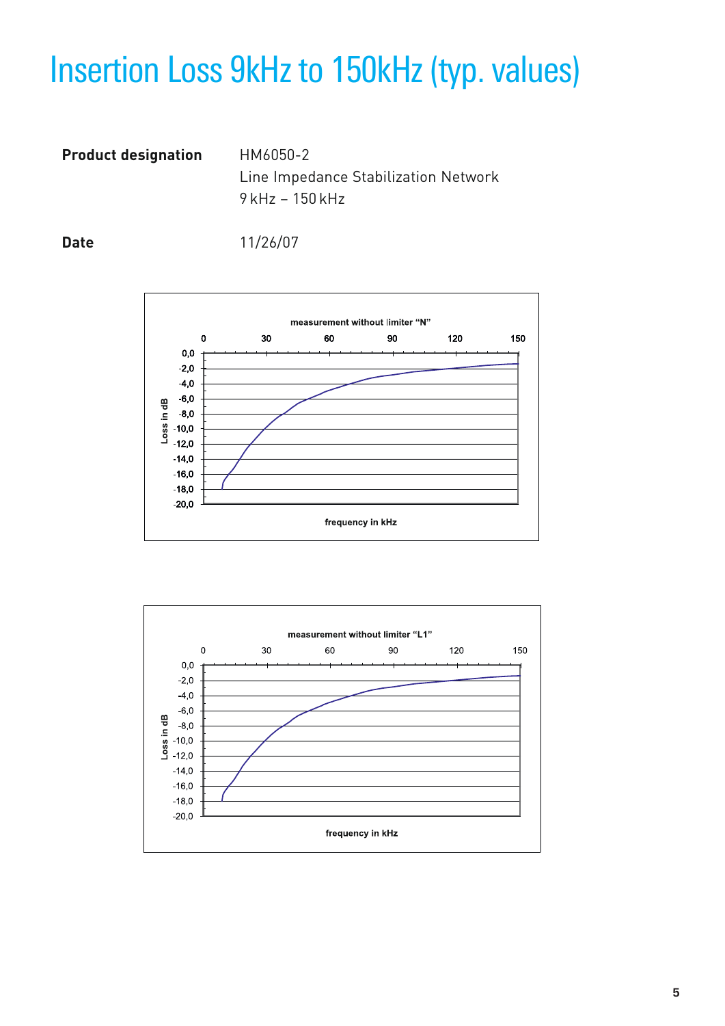## Insertion Loss 9kHz to 150kHz (typ. values)

**Product designation** HM6050-2

Line Impedance Stabilization Network 9 kHz – 150 kHz

**Date** 11/26/07



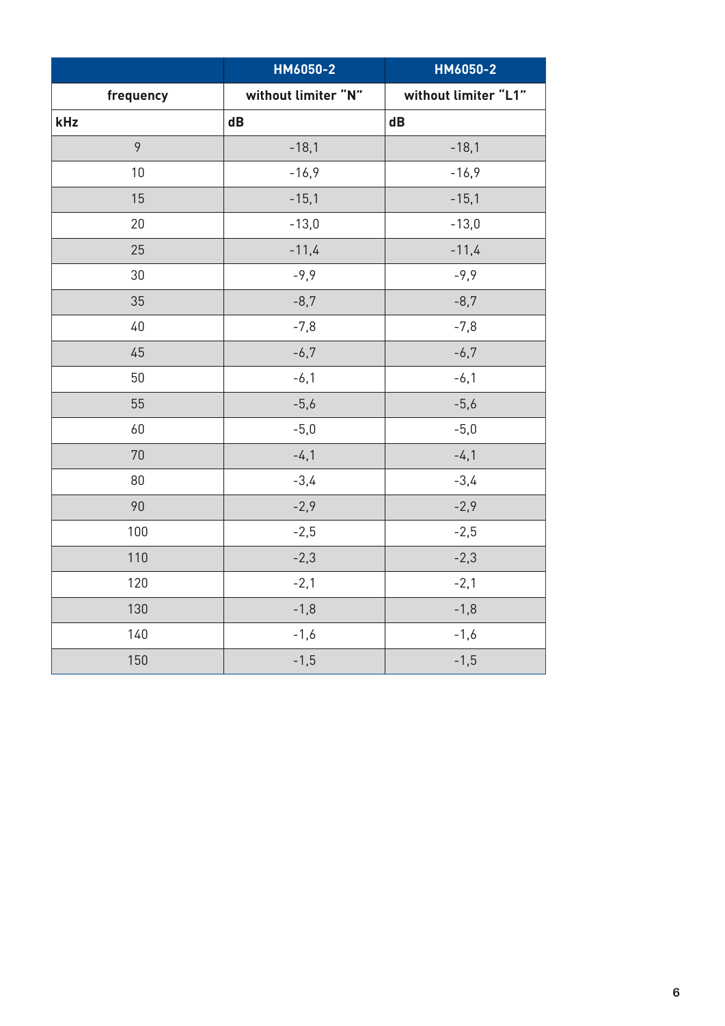|           | HM6050-2             | HM6050-2             |
|-----------|----------------------|----------------------|
| frequency | without limiter "N"  | without limiter "L1" |
| kHz       | $\mathbf d\mathbf B$ | $\mathbf d\mathbf B$ |
| 9         | $-18,1$              | $-18,1$              |
| 10        | $-16,9$              | $-16,9$              |
| 15        | $-15,1$              | $-15,1$              |
| 20        | $-13,0$              | $-13,0$              |
| 25        | $-11,4$              | $-11,4$              |
| 30        | $-9,9$               | $-9,9$               |
| 35        | $-8,7$               | $-8,7$               |
| 40        | $-7,8$               | $-7,8$               |
| 45        | $-6,7$               | $-6,7$               |
| 50        | $-6,1$               | $-6,1$               |
| 55        | $-5,6$               | $-5,6$               |
| 60        | $-5,0$               | $-5,0$               |
| 70        | $-4,1$               | $-4,1$               |
| 80        | $-3,4$               | $-3,4$               |
| 90        | $-2,9$               | $-2,9$               |
| 100       | $-2,5$               | $-2,5$               |
| 110       | $-2,3$               | $-2,3$               |
| 120       | $-2,1$               | $-2,1$               |
| 130       | $-1,8$               | $-1,8$               |
| 140       | $-1,6$               | $-1,6$               |
| 150       | $-1,5$               | $-1,5$               |